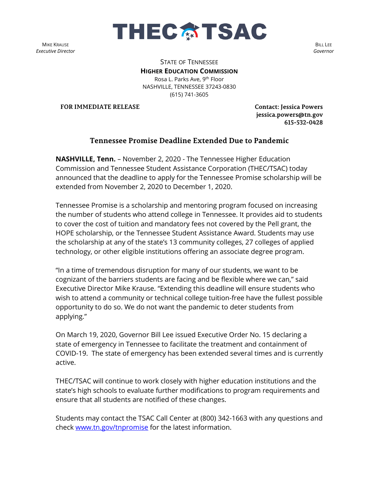

MIKE KRAUSE *Executive Director*

BILL LEE *Governor*

STATE OF TENNESSEE **HIGHER EDUCATION COMMISSION** Rosa L. Parks Ave, 9th Floor NASHVILLE, TENNESSEE 37243-0830 (615) 741-3605

**FOR IMMEDIATE RELEASE Contact: Jessica Powers** 

**jessica.powers@tn.gov 615-532-0428**

## **Tennessee Promise Deadline Extended Due to Pandemic**

**NASHVILLE, Tenn.** – November 2, 2020 - The Tennessee Higher Education Commission and Tennessee Student Assistance Corporation (THEC/TSAC) today announced that the deadline to apply for the Tennessee Promise scholarship will be extended from November 2, 2020 to December 1, 2020.

Tennessee Promise is a scholarship and mentoring program focused on increasing the number of students who attend college in Tennessee. It provides aid to students to cover the cost of tuition and mandatory fees not covered by the Pell grant, the HOPE scholarship, or the Tennessee Student Assistance Award. Students may use the scholarship at any of the state's 13 community colleges, 27 colleges of applied technology, or other eligible institutions offering an associate degree program.

"In a time of tremendous disruption for many of our students, we want to be cognizant of the barriers students are facing and be flexible where we can," said Executive Director Mike Krause. "Extending this deadline will ensure students who wish to attend a community or technical college tuition-free have the fullest possible opportunity to do so. We do not want the pandemic to deter students from applying."

On March 19, 2020, Governor Bill Lee issued Executive Order No. 15 declaring a state of emergency in Tennessee to facilitate the treatment and containment of COVID-19. The state of emergency has been extended several times and is currently active.

THEC/TSAC will continue to work closely with higher education institutions and the state's high schools to evaluate further modifications to program requirements and ensure that all students are notified of these changes.

Students may contact the TSAC Call Center at (800) 342-1663 with any questions and check [www.tn.gov/tnpromise](http://www.tn.gov/tnpromise) for the latest information.